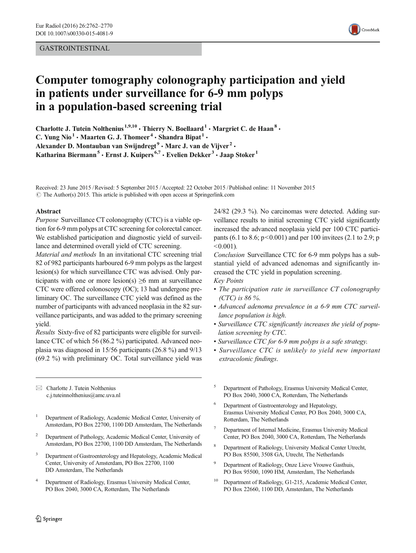## GASTROINTESTINAL



# Computer tomography colonography participation and yield in patients under surveillance for 6-9 mm polyps in a population-based screening trial

Charlotte J. Tutein Nolthenius  $1,9,10$   $\cdot$  Thierry N. Boellaard  $1 \cdot$  Margriet C. de Haan<sup>8</sup>  $\cdot$ C. Yung Nio<sup>1</sup> • Maarten G. J. Thomeer<sup>4</sup> • Shandra Bipat<sup>1</sup> • Alexander D. Montauban van Swijndregt<sup>9</sup>  $\cdot$  Marc J. van de Vijver<sup>2</sup>  $\cdot$ Katharina Biermann<sup>5</sup> · Ernst J. Kuipers<sup>6,7</sup> · Evelien Dekker<sup>3</sup> · Jaap Stoker<sup>1</sup>

Received: 23 June 2015 /Revised: 5 September 2015 /Accepted: 22 October 2015 / Published online: 11 November 2015  $\odot$  The Author(s) 2015. This article is published with open access at Springerlink.com

#### Abstract

Purpose Surveillance CT colonography (CTC) is a viable option for 6-9 mm polyps at CTC screening for colorectal cancer. We established participation and diagnostic yield of surveillance and determined overall yield of CTC screening.

Material and methods In an invitational CTC screening trial 82 of 982 participants harboured 6-9 mm polyps as the largest lesion(s) for which surveillance CTC was advised. Only participants with one or more lesion(s)  $\geq 6$  mm at surveillance CTC were offered colonoscopy (OC); 13 had undergone preliminary OC. The surveillance CTC yield was defined as the number of participants with advanced neoplasia in the 82 surveillance participants, and was added to the primary screening yield.

Results Sixty-five of 82 participants were eligible for surveillance CTC of which 56 (86.2 %) participated. Advanced neoplasia was diagnosed in 15/56 participants (26.8 %) and 9/13 (69.2 %) with preliminary OC. Total surveillance yield was

 $\boxtimes$  Charlotte J. Tutein Nolthenius c.j.tuteinnolthenius@amc.uva.nl

- <sup>1</sup> Department of Radiology, Academic Medical Center, University of Amsterdam, PO Box 22700, 1100 DD Amsterdam, The Netherlands
- <sup>2</sup> Department of Pathology, Academic Medical Center, University of Amsterdam, PO Box 22700, 1100 DD Amsterdam, The Netherlands
- <sup>3</sup> Department of Gastroenterology and Hepatology, Academic Medical Center, University of Amsterdam, PO Box 22700, 1100 DD Amsterdam, The Netherlands
- <sup>4</sup> Department of Radiology, Erasmus University Medical Center, PO Box 2040, 3000 CA, Rotterdam, The Netherlands

24/82 (29.3 %). No carcinomas were detected. Adding surveillance results to initial screening CTC yield significantly increased the advanced neoplasia yield per 100 CTC participants (6.1 to 8.6;  $p < 0.001$ ) and per 100 invitees (2.1 to 2.9; p  $< 0.001$ ).

Conclusion Surveillance CTC for 6-9 mm polyps has a substantial yield of advanced adenomas and significantly increased the CTC yield in population screening.

- Key Points
- The participation rate in surveillance CT colonography (CTC) is 86 %.
- Advanced adenoma prevalence in a 6-9 mm CTC surveillance population is high.
- Surveillance CTC significantly increases the yield of population screening by CTC.
- Surveillance CTC for 6-9 mm polyps is a safe strategy.
- Surveillance CTC is unlikely to yield new important extracolonic findings.
- <sup>5</sup> Department of Pathology, Erasmus University Medical Center, PO Box 2040, 3000 CA, Rotterdam, The Netherlands
- Department of Gastroenterology and Hepatology, Erasmus University Medical Center, PO Box 2040, 3000 CA, Rotterdam, The Netherlands
- <sup>7</sup> Department of Internal Medicine, Erasmus University Medical Center, PO Box 2040, 3000 CA, Rotterdam, The Netherlands
- <sup>8</sup> Department of Radiology, University Medical Center Utrecht, PO Box 85500, 3508 GA, Utrecht, The Netherlands
- <sup>9</sup> Department of Radiology, Onze Lieve Vrouwe Gasthuis, PO Box 95500, 1090 HM, Amsterdam, The Netherlands
- Department of Radiology, G1-215, Academic Medical Center, PO Box 22660, 1100 DD, Amsterdam, The Netherlands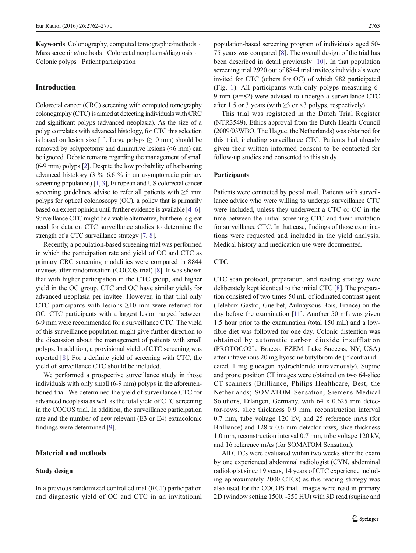Keywords Colonography, computed tomographic/methods . Mass screening/methods  $\cdot$  Colorectal neoplasms/diagnosis  $\cdot$ Colonic polyps . Patient participation

## Introduction

Colorectal cancer (CRC) screening with computed tomography colonography (CTC) is aimed at detecting individuals with CRC and significant polyps (advanced neoplasia). As the size of a polyp correlates with advanced histology, for CTC this selection is based on lesion size [\[1](#page-8-0)]. Large polyps  $(≥10$  mm) should be removed by polypectomy and diminutive lesions (<6 mm) can be ignored. Debate remains regarding the management of small (6-9 mm) polyps [\[2\]](#page-8-0). Despite the low probability of harbouring advanced histology (3  $\%$ –6.6 % in an asymptomatic primary screening population) [\[1,](#page-8-0) [3\]](#page-8-0), European and US colorectal cancer screening guidelines advise to refer all patients with ≥6 mm polyps for optical colonoscopy (OC), a policy that is primarily based on expert opinion until further evidence is available [\[4](#page-8-0)–[6\]](#page-8-0). Surveillance CTC might be a viable alternative, but there is great need for data on CTC surveillance studies to determine the strength of a CTC surveillance strategy [\[7,](#page-8-0) [8\]](#page-8-0).

Recently, a population-based screening trial was performed in which the participation rate and yield of OC and CTC as primary CRC screening modalities were compared in 8844 invitees after randomisation (COCOS trial) [\[8](#page-8-0)]. It was shown that with higher participation in the CTC group, and higher yield in the OC group, CTC and OC have similar yields for advanced neoplasia per invitee. However, in that trial only CTC participants with lesions  $\geq 10$  mm were referred for OC. CTC participants with a largest lesion ranged between 6-9 mm were recommended for a surveillance CTC. The yield of this surveillance population might give further direction to the discussion about the management of patients with small polyps. In addition, a provisional yield of CTC screening was reported [\[8](#page-8-0)]. For a definite yield of screening with CTC, the yield of surveillance CTC should be included.

We performed a prospective surveillance study in those individuals with only small (6-9 mm) polyps in the aforementioned trial. We determined the yield of surveillance CTC for advanced neoplasia as well as the total yield of CTC screening in the COCOS trial. In addition, the surveillance participation rate and the number of new relevant (E3 or E4) extracolonic findings were determined [\[9\]](#page-8-0).

# Material and methods

## Study design

population-based screening program of individuals aged 50- 75 years was compared [\[8](#page-8-0)]. The overall design of the trial has been described in detail previously [\[10](#page-8-0)]. In that population screening trial 2920 out of 8844 trial invitees individuals were invited for CTC (others for OC) of which 982 participated (Fig. [1\)](#page-2-0). All participants with only polyps measuring 6- 9 mm  $(n=82)$  were advised to undergo a surveillance CTC after 1.5 or 3 years (with  $\geq$ 3 or <3 polyps, respectively).

This trial was registered in the Dutch Trial Register (NTR3549). Ethics approval from the Dutch Health Council (2009/03WBO, The Hague, the Netherlands) was obtained for this trial, including surveillance CTC. Patients had already given their written informed consent to be contacted for follow-up studies and consented to this study.

# Participants

Patients were contacted by postal mail. Patients with surveillance advice who were willing to undergo surveillance CTC were included, unless they underwent a CTC or OC in the time between the initial screening CTC and their invitation for surveillance CTC. In that case, findings of those examinations were requested and included in the yield analysis. Medical history and medication use were documented.

# **CTC**

CTC scan protocol, preparation, and reading strategy were deliberately kept identical to the initial CTC [[8\]](#page-8-0). The preparation consisted of two times 50 mL of iodinated contrast agent (Telebrix Gastro, Guerbet, Aulnaysous-Bois, France) on the day before the examination [[11](#page-8-0)]. Another 50 mL was given 1.5 hour prior to the examination (total 150 mL) and a lowfibre diet was followed for one day. Colonic distention was obtained by automatic carbon dioxide insufflation (PROTOCO2L, Bracco, EZEM, Lake Success, NY, USA) after intravenous 20 mg hyoscine butylbromide (if contraindicated, 1 mg glucagon hydrochloride intravenously). Supine and prone position CT images were obtained on two 64-slice CT scanners (Brilliance, Philips Healthcare, Best, the Netherlands; SOMATOM Sensation, Siemens Medical Solutions, Erlangen, Germany, with 64 x 0.625 mm detector-rows, slice thickness 0.9 mm, reconstruction interval 0.7 mm, tube voltage 120 kV, and 25 reference mAs (for Brilliance) and 128 x 0.6 mm detector-rows, slice thickness 1.0 mm, reconstruction interval 0.7 mm, tube voltage 120 kV, and 16 reference mAs (for SOMATOM Sensation).

All CTCs were evaluated within two weeks after the exam by one experienced abdominal radiologist (CYN, abdominal radiologist since 19 years, 14 years of CTC experience including approximately 2000 CTCs) as this reading strategy was also used for the COCOS trial. Images were read in primary 2D (window setting 1500, -250 HU) with 3D read (supine and

In a previous randomized controlled trial (RCT) participation and diagnostic yield of OC and CTC in an invitational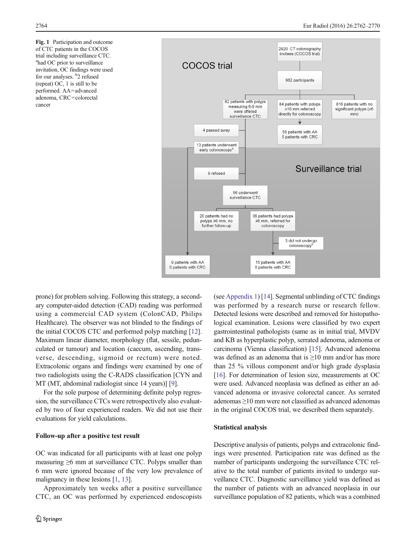<span id="page-2-0"></span>Fig. 1 Participation and outcome of CTC patients in the COCOS trial including surveillance CTC. a had OC prior to surveillance invitation, OC findings were used for our analyses. <sup>b</sup>2 refused (repeat) OC, 1 is still to be performed. AA=advanced adenoma, CRC=colorectal cancer



prone) for problem solving. Following this strategy, a secondary computer-aided detection (CAD) reading was performed using a commercial CAD system (ColonCAD, Philips Healthcare). The observer was not blinded to the findings of the initial COCOS CTC and performed polyp matching [[12\]](#page-8-0). Maximum linear diameter, morphology (flat, sessile, pedunculated or tumour) and location (caecum, ascending, transverse, descending, sigmoid or rectum) were noted. Extracolonic organs and findings were examined by one of two radiologists using the C-RADS classification [CYN and MT (MT, abdominal radiologist since 14 years)] [\[9](#page-8-0)].

For the sole purpose of determining definite polyp regression, the surveillance CTCs were retrospectively also evaluated by two of four experienced readers. We did not use their evaluations for yield calculations.

#### Follow-up after a positive test result

OC was indicated for all participants with at least one polyp measuring  $\geq 6$  mm at surveillance CTC. Polyps smaller than 6 mm were ignored because of the very low prevalence of malignancy in these lesions [\[1,](#page-8-0) [13\]](#page-8-0).

Approximately ten weeks after a positive surveillance CTC, an OC was performed by experienced endoscopists (see [Appendix 1\)](#page-7-0) [\[14\]](#page-8-0). Segmental unblinding of CTC findings was performed by a research nurse or research fellow. Detected lesions were described and removed for histopathological examination. Lesions were classified by two expert gastrointestinal pathologists (same as in initial trial, MVDV and KB as hyperplastic polyp, serrated adenoma, adenoma or carcinoma (Vienna classification) [\[15\]](#page-8-0). Advanced adenoma was defined as an adenoma that is ≥10 mm and/or has more than 25 % villous component and/or high grade dysplasia [\[16](#page-8-0)]. For determination of lesion size, measurements at OC were used. Advanced neoplasia was defined as either an advanced adenoma or invasive colorectal cancer. As serrated adenomas ≥10 mm were not classified as advanced adenomas in the original COCOS trial, we described them separately.

#### Statistical analysis

Descriptive analysis of patients, polyps and extracolonic findings were presented. Participation rate was defined as the number of participants undergoing the surveillance CTC relative to the total number of patients invited to undergo surveillance CTC. Diagnostic surveillance yield was defined as the number of patients with an advanced neoplasia in our surveillance population of 82 patients, which was a combined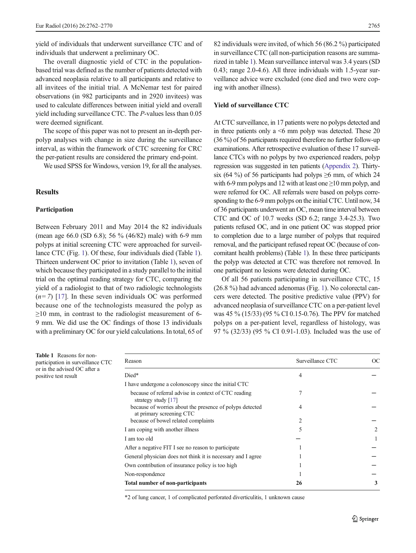yield of individuals that underwent surveillance CTC and of individuals that underwent a preliminary OC.

The overall diagnostic yield of CTC in the populationbased trial was defined as the number of patients detected with advanced neoplasia relative to all participants and relative to all invitees of the initial trial. A McNemar test for paired observations (in 982 participants and in 2920 invitees) was used to calculate differences between initial yield and overall yield including surveillance CTC. The P-values less than 0.05 were deemed significant.

The scope of this paper was not to present an in-depth perpolyp analyses with change in size during the surveillance interval, as within the framework of CTC screening for CRC the per-patient results are considered the primary end-point.

We used SPSS for Windows, version 19, for all the analyses.

# Results

#### Participation

Between February 2011 and May 2014 the 82 individuals (mean age 66.0 (SD 6.8); 56 % (46/82) male) with 6-9 mm polyps at initial screening CTC were approached for surveillance CTC (Fig. [1\)](#page-2-0). Of these, four individuals died (Table 1). Thirteen underwent OC prior to invitation (Table 1), seven of which because they participated in a study parallel to the initial trial on the optimal reading strategy for CTC, comparing the yield of a radiologist to that of two radiologic technologists  $(n=7)$  [[17\]](#page-8-0). In these seven individuals OC was performed because one of the technologists measured the polyp as  $\geq$ 10 mm, in contrast to the radiologist measurement of 6-9 mm. We did use the OC findings of those 13 individuals with a preliminary OC for our yield calculations. In total, 65 of

82 individuals were invited, of which 56 (86.2 %) participated in surveillance CTC (all non-participation reasons are summarized in table 1). Mean surveillance interval was 3.4 years (SD 0.43; range 2.0-4.6). All three individuals with 1.5-year surveillance advice were excluded (one died and two were coping with another illness).

#### Yield of surveillance CTC

At CTC surveillance, in 17 patients were no polyps detected and in three patients only a <6 mm polyp was detected. These 20 (36 %) of 56 participants required therefore no further follow-up examinations. After retrospective evaluation of these 17 surveillance CTCs with no polyps by two experienced readers, polyp regression was suggested in ten patients [\(Appendix 2\)](#page-7-0). Thirtysix (64 %) of 56 participants had polyps  $\geq$ 6 mm, of which 24 with 6-9 mm polyps and 12 with at least one  $\geq$ 10 mm polyp, and were referred for OC. All referrals were based on polyps corresponding to the 6-9 mm polyps on the initial CTC. Until now, 34 of 36 participants underwent an OC, mean time interval between CTC and OC of 10.7 weeks (SD 6.2; range 3.4-25.3). Two patients refused OC, and in one patient OC was stopped prior to completion due to a large number of polyps that required removal, and the participant refused repeat OC (because of concomitant health problems) (Table 1). In these three participants the polyp was detected at CTC was therefore not removed. In one participant no lesions were detected during OC.

Of all 56 patients participating in surveillance CTC, 15 (26.8 %) had advanced adenomas (Fig. [1\)](#page-2-0). No colorectal cancers were detected. The positive predictive value (PPV) for advanced neoplasia of surveillance CTC on a per-patient level was 45 % (15/33) (95 % CI 0.15-0.76). The PPV for matched polyps on a per-patient level, regardless of histology, was 97 % (32/33) (95 % CI 0.91-1.03). Included was the use of

Table 1 Reasons for nonparticipation in surveillance CTC or in the advised OC after a positive test result

| Reason                                                                               | Surveillance CTC | OС                            |
|--------------------------------------------------------------------------------------|------------------|-------------------------------|
| Died*                                                                                | 4                |                               |
| I have undergone a colonoscopy since the initial CTC                                 |                  |                               |
| because of referral advise in context of CTC reading<br>strategy study $[17]$        | 7                |                               |
| because of worries about the presence of polyps detected<br>at primary screening CTC | 4                |                               |
| because of bowel related complaints                                                  |                  |                               |
| I am coping with another illness                                                     | 5                | $\mathfrak{D}_{\mathfrak{p}}$ |
| I am too old                                                                         |                  |                               |
| After a negative FIT I see no reason to participate                                  |                  |                               |
| General physician does not think it is necessary and I agree                         |                  |                               |
| Own contribution of insurance policy is too high                                     |                  |                               |
| Non-respondence                                                                      |                  |                               |
| Total number of non-participants                                                     | 26               | 3                             |

\*2 of lung cancer, 1 of complicated perforated diverticulitis, 1 unknown cause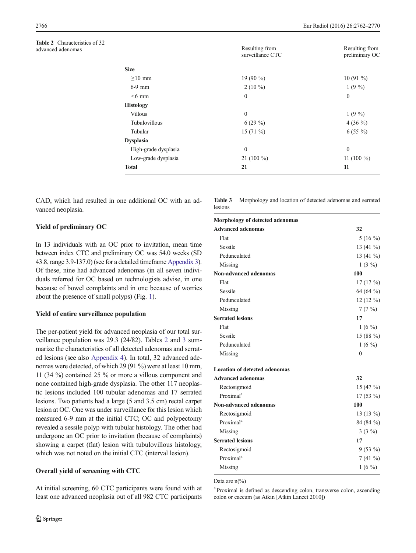Table 2 Characteristics of 32 advanced adenomas

|                      | Resulting from<br>surveillance CTC | Resulting from<br>preliminary OC |
|----------------------|------------------------------------|----------------------------------|
| <b>Size</b>          |                                    |                                  |
| $\geq$ 10 mm         | 19 $(90\%$                         | $10(91\%)$                       |
| $6-9$ mm             | $2(10\%)$                          | $1(9\%)$                         |
| $<6$ mm              | $\mathbf{0}$                       | $\mathbf{0}$                     |
| <b>Histology</b>     |                                    |                                  |
| <b>Villous</b>       | $\theta$                           | $1(9\%)$                         |
| Tubulovillous        | $6(29\%)$                          | 4 (36 $\frac{9}{0}$ )            |
| Tubular              | 15 $(71\%)$                        | $6(55\%)$                        |
| <b>Dysplasia</b>     |                                    |                                  |
| High-grade dysplasia | $\Omega$                           | $\Omega$                         |
| Low-grade dysplasia  | 21 $(100\%)$                       | 11 (100 $\%$ )                   |
| <b>Total</b>         | 21                                 | 11                               |

CAD, which had resulted in one additional OC with an advanced neoplasia.

## Yield of preliminary OC

In 13 individuals with an OC prior to invitation, mean time between index CTC and preliminary OC was 54.0 weeks (SD 43.8, range 3.9-137.0) (see for a detailed timeframe [Appendix 3\)](#page-7-0). Of these, nine had advanced adenomas (in all seven individuals referred for OC based on technologists advise, in one because of bowel complaints and in one because of worries about the presence of small polyps) (Fig. [1](#page-2-0)).

## Yield of entire surveillance population

The per-patient yield for advanced neoplasia of our total surveillance population was 29.3 (24/82). Tables 2 and 3 summarize the characteristics of all detected adenomas and serrated lesions (see also [Appendix 4](#page-8-0)). In total, 32 advanced adenomas were detected, of which 29 (91 %) were at least 10 mm, 11 (34 %) contained 25 % or more a villous component and none contained high-grade dysplasia. The other 117 neoplastic lesions included 100 tubular adenomas and 17 serrated lesions. Two patients had a large (5 and 3.5 cm) rectal carpet lesion at OC. One was under surveillance for this lesion which measured 6-9 mm at the initial CTC; OC and polypectomy revealed a sessile polyp with tubular histology. The other had undergone an OC prior to invitation (because of complaints) showing a carpet (flat) lesion with tubulovillous histology, which was not noted on the initial CTC (interval lesion).

# Overall yield of screening with CTC

At initial screening, 60 CTC participants were found with at least one advanced neoplasia out of all 982 CTC participants Table 3 Morphology and location of detected adenomas and serrated lesions

| Morphology of detected adenomas      |               |
|--------------------------------------|---------------|
| <b>Advanced adenomas</b>             | 32            |
| Flat                                 | $5(16\%)$     |
| Sessile                              | 13 $(41\%)$   |
| Pedunculated                         | 13 $(41\%)$   |
| Missing                              | $1(3\%)$      |
| Non-advanced adenomas                | 100           |
| Flat                                 | 17(17%)       |
| Sessile                              | 64 (64 %)     |
| Pedunculated                         | $12(12\%)$    |
| Missing                              | 7(7%)         |
| <b>Serrated lesions</b>              | 17            |
| Flat                                 | $1(6\%)$      |
| Sessile                              | 15 (88 $\%$ ) |
| Pedunculated                         | $1(6\%)$      |
| Missing                              | $\theta$      |
| <b>Location of detected adenomas</b> |               |
| <b>Advanced adenomas</b>             | 32            |
| Rectosigmoid                         | 15 $(47\%$    |
| Proximal <sup>a</sup>                | $17(53\%)$    |
| Non-advanced adenomas                | 100           |
| Rectosigmoid                         | 13 $(13\%)$   |
| Proximal <sup>a</sup>                | 84 (84 %)     |
| Missing                              | $3(3\%)$      |
| <b>Serrated lesions</b>              | 17            |
| Rectosigmoid                         | $9(53\%)$     |
| Proximal <sup>a</sup>                | $7(41\%)$     |
| Missing                              | $1(6\%)$      |

Data are  $n\frac{6}{6}$ 

<sup>a</sup> Proximal is defined as descending colon, transverse colon, ascending colon or caecum (as Atkin [Atkin Lancet 2010])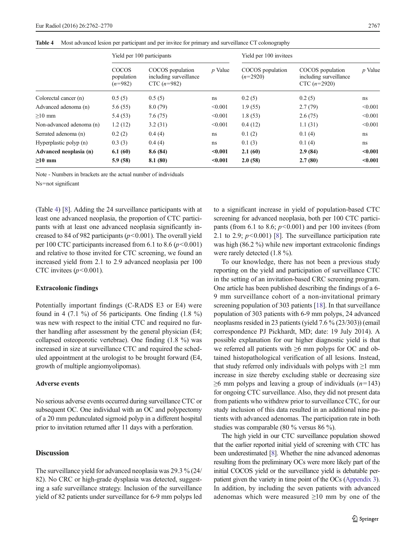|  |  |  |  | Table 4 Most advanced lesion per participant and per invitee for primary and surveillance CT colonography |
|--|--|--|--|-----------------------------------------------------------------------------------------------------------|
|--|--|--|--|-----------------------------------------------------------------------------------------------------------|

|                          | Yield per 100 participants       |                                                             |           | Yield per 100 invitees         |                                                              |         |
|--------------------------|----------------------------------|-------------------------------------------------------------|-----------|--------------------------------|--------------------------------------------------------------|---------|
|                          | COCOS<br>population<br>$(n=982)$ | COCOS population<br>including surveillance<br>$CTC (n=982)$ | $p$ Value | COCOS population<br>$(n=2920)$ | COCOS population<br>including surveillance<br>CTC $(n=2920)$ | p Value |
| Colorectal cancer (n)    | 0.5(5)                           | 0.5(5)                                                      | ns        | 0.2(5)                         | 0.2(5)                                                       | ns      |
| Advanced adenoma (n)     | 5.6(55)                          | 8.0(79)                                                     | < 0.001   | 1.9(55)                        | 2.7(79)                                                      | < 0.001 |
| $>10$ mm                 | 5.4(53)                          | 7.6(75)                                                     | < 0.001   | 1.8(53)                        | 2.6(75)                                                      | < 0.001 |
| Non-advanced adenoma (n) | 1.2(12)                          | 3.2(31)                                                     | < 0.001   | 0.4(12)                        | 1.1(31)                                                      | < 0.001 |
| Serrated adenoma (n)     | 0.2(2)                           | 0.4(4)                                                      | ns        | 0.1(2)                         | 0.1(4)                                                       | ns.     |
| Hyperplastic polyp (n)   | 0.3(3)                           | 0.4(4)                                                      | ns        | 0.1(3)                         | 0.1(4)                                                       | ns      |
| Advanced neoplasia (n)   | 6.1(60)                          | 8.6(84)                                                     | $0.001$   | 2.1(60)                        | 2.9(84)                                                      | < 0.001 |
| $>10$ mm                 | 5.9(58)                          | 8.1(80)                                                     | < 0.001   | 2.0(58)                        | 2.7(80)                                                      | < 0.001 |

Note - Numbers in brackets are the actual number of individuals

Ns=not significant

(Table 4) [\[8](#page-8-0)]. Adding the 24 surveillance participants with at least one advanced neoplasia, the proportion of CTC participants with at least one advanced neoplasia significantly increased to 84 of 982 participants ( $p$ <0.001). The overall yield per 100 CTC participants increased from 6.1 to 8.6 ( $p$  < 0.001) and relative to those invited for CTC screening, we found an increased yield from 2.1 to 2.9 advanced neoplasia per 100 CTC invitees  $(p<0.001)$ .

### Extracolonic findings

Potentially important findings (C-RADS E3 or E4) were found in 4 (7.1 %) of 56 participants. One finding  $(1.8 \%)$ was new with respect to the initial CTC and required no further handling after assessment by the general physician (E4; collapsed osteoporotic vertebrae). One finding (1.8 %) was increased in size at surveillance CTC and required the scheduled appointment at the urologist to be brought forward (E4, growth of multiple angiomyolipomas).

#### Adverse events

No serious adverse events occurred during surveillance CTC or subsequent OC. One individual with an OC and polypectomy of a 20 mm pedunculated sigmoid polyp in a different hospital prior to invitation returned after 11 days with a perforation.

# **Discussion**

The surveillance yield for advanced neoplasia was 29.3 % (24/ 82). No CRC or high-grade dysplasia was detected, suggesting a safe surveillance strategy. Inclusion of the surveillance yield of 82 patients under surveillance for 6-9 mm polyps led to a significant increase in yield of population-based CTC screening for advanced neoplasia, both per 100 CTC participants (from 6.1 to 8.6;  $p<0.001$ ) and per 100 invitees (from 2.1 to 2.9;  $p<0.001$  [\[8](#page-8-0)]. The surveillance participation rate was high (86.2 %) while new important extracolonic findings were rarely detected (1.8 %).

To our knowledge, there has not been a previous study reporting on the yield and participation of surveillance CTC in the setting of an invitation-based CRC screening program. One article has been published describing the findings of a 6- 9 mm surveillance cohort of a non-invitational primary screening population of 303 patients [[18](#page-8-0)]. In that surveillance population of 303 patients with 6-9 mm polyps, 24 advanced neoplasms resided in 23 patients (yield 7.6 % (23/303)) (email correspondence PJ Pickhardt, MD; date: 19 July 2014). A possible explanation for our higher diagnostic yield is that we referred all patients with ≥6 mm polyps for OC and obtained histopathological verification of all lesions. Instead, that study referred only individuals with polyps with  $\geq 1$  mm increase in size thereby excluding stable or decreasing size  $\geq$ 6 mm polyps and leaving a group of individuals (*n*=143) for ongoing CTC surveillance. Also, they did not present data from patients who withdrew prior to surveillance CTC, for our study inclusion of this data resulted in an additional nine patients with advanced adenomas. The participation rate in both studies was comparable (80 % versus 86 %).

The high yield in our CTC surveillance population showed that the earlier reported initial yield of screening with CTC has been underestimated [[8](#page-8-0)]. Whether the nine advanced adenomas resulting from the preliminary OCs were more likely part of the initial COCOS yield or the surveillance yield is debatable perpatient given the variety in time point of the OCs [\(Appendix 3\)](#page-7-0). In addition, by including the seven patients with advanced adenomas which were measured  $\geq 10$  mm by one of the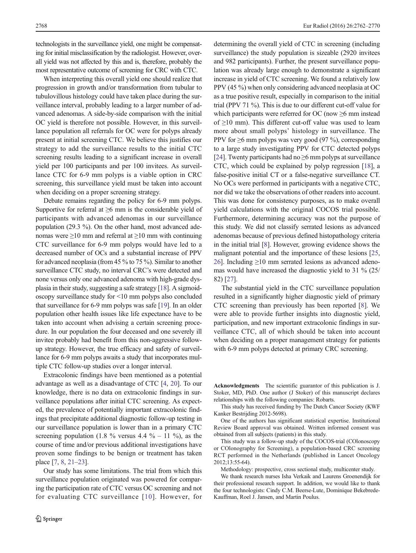technologists in the surveillance yield, one might be compensating for initial misclassification by the radiologist. However, overall yield was not affected by this and is, therefore, probably the most representative outcome of screening for CRC with CTC.

When interpreting this overall yield one should realize that progression in growth and/or transformation from tubular to tubulovillous histology could have taken place during the surveillance interval, probably leading to a larger number of advanced adenomas. A side-by-side comparison with the initial OC yield is therefore not possible. However, in this surveillance population all referrals for OC were for polyps already present at initial screening CTC. We believe this justifies our strategy to add the surveillance results to the initial CTC screening results leading to a significant increase in overall yield per 100 participants and per 100 invitees. As surveillance CTC for 6-9 mm polyps is a viable option in CRC screening, this surveillance yield must be taken into account when deciding on a proper screening strategy.

Debate remains regarding the policy for 6-9 mm polyps. Supportive for referral at  $\geq 6$  mm is the considerable yield of participants with advanced adenomas in our surveillance population (29.3 %). On the other hand, most advanced adenomas were  $\geq$ 10 mm and referral at  $\geq$ 10 mm with continuing CTC surveillance for 6-9 mm polyps would have led to a decreased number of OCs and a substantial increase of PPV for advanced neoplasia (from 45 % to 75 %). Similar to another surveillance CTC study, no interval CRC's were detected and none versus only one advanced adenoma with high-grade dysplasia in their study, suggesting a safe strategy [\[18\]](#page-8-0). A sigmoidoscopy surveillance study for <10 mm polyps also concluded that surveillance for 6-9 mm polyps was safe [[19](#page-8-0)]. In an older population other health issues like life expectance have to be taken into account when advising a certain screening procedure. In our population the four deceased and one severely ill invitee probably had benefit from this non-aggressive followup strategy. However, the true efficacy and safety of surveillance for 6-9 mm polyps awaits a study that incorporates multiple CTC follow-up studies over a longer interval.

Extracolonic findings have been mentioned as a potential advantage as well as a disadvantage of CTC [[4,](#page-8-0) [20\]](#page-8-0). To our knowledge, there is no data on extracolonic findings in surveillance populations after initial CTC screening. As expected, the prevalence of potentially important extracolonic findings that precipitate additional diagnostic follow-up testing in our surveillance population is lower than in a primary CTC screening population (1.8 % versus 4.4 % – 11 %), as the course of time and/or previous additional investigations have proven some findings to be benign or treatment has taken place [\[7](#page-8-0), [8,](#page-8-0) [21](#page-8-0)–[23\]](#page-8-0).

Our study has some limitations. The trial from which this surveillance population originated was powered for comparing the participation rate of CTC versus OC screening and not for evaluating CTC surveillance [[10](#page-8-0)]. However, for determining the overall yield of CTC in screening (including surveillance) the study population is sizeable (2920 invitees and 982 participants). Further, the present surveillance population was already large enough to demonstrate a significant increase in yield of CTC screening. We found a relatively low PPV (45 %) when only considering advanced neoplasia at OC as a true positive result, especially in comparison to the initial trial (PPV 71 %). This is due to our different cut-off value for which participants were referred for OC (now  $\geq 6$  mm instead of ≥10 mm). This different cut-off value was used to learn more about small polyps' histology in surveillance. The PPV for ≥6 mm polyps was very good (97 %), corresponding to a large study investigating PPV for CTC detected polyps [\[24](#page-8-0)]. Twenty participants had no  $\geq$ 6 mm polyps at surveillance CTC, which could be explained by polyp regression [\[18\]](#page-8-0), a false-positive initial CT or a false-negative surveillance CT. No OCs were performed in participants with a negative CTC, nor did we take the observations of other readers into account. This was done for consistency purposes, as to make overall yield calculations with the original COCOS trial possible. Furthermore, determining accuracy was not the purpose of this study. We did not classify serrated lesions as advanced adenomas because of previous defined histopathology criteria in the initial trial [\[8\]](#page-8-0). However, growing evidence shows the malignant potential and the importance of these lesions [[25,](#page-8-0) [26\]](#page-8-0). Including  $\geq$ 10 mm serrated lesions as advanced adenomas would have increased the diagnostic yield to 31 % (25/ 82) [[27\]](#page-8-0).

The substantial yield in the CTC surveillance population resulted in a significantly higher diagnostic yield of primary CTC screening than previously has been reported [[8\]](#page-8-0). We were able to provide further insights into diagnostic yield, participation, and new important extracolonic findings in surveillance CTC, all of which should be taken into account when deciding on a proper management strategy for patients with 6-9 mm polyps detected at primary CRC screening.

Acknowledgments The scientific guarantor of this publication is J. Stoker, MD, PhD. One author (J Stoker) of this manuscript declares relationships with the following companies: Robarts.

This study has received funding by The Dutch Cancer Society (KWF Kanker Bestrijding 2012-5698).

One of the authors has significant statistical expertise. Institutional Review Board approval was obtained. Written informed consent was obtained from all subjects (patients) in this study.

This study was a follow-up study of the COCOS-trial (COlonoscopy or COlonography for Screening), a population-based CRC screening RCT performed in the Netherlands (published in Lancet Oncology 2012;13:55-64).

Methodology: prospective, cross sectional study, multicenter study.

We thank research nurses Isha Verkaik and Laurens Groenendijk for their professional research support. In addition, we would like to thank the four technologists: Cindy C.M. Beerse-Lute, Dominique Bekebrede-Kauffman, Roel J. Jansen, and Martin Poulus.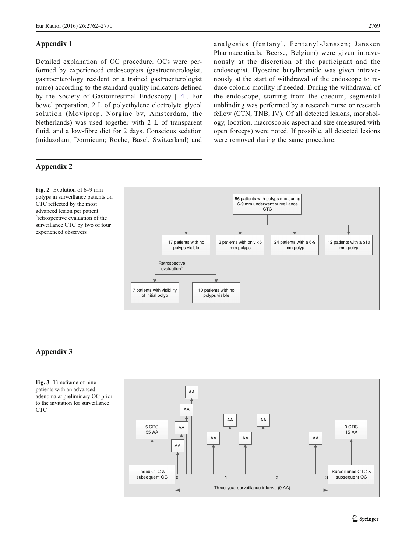analgesics (fentanyl, Fentanyl-Janssen; Janssen Pharmaceuticals, Beerse, Belgium) were given intravenously at the discretion of the participant and the endoscopist. Hyoscine butylbromide was given intravenously at the start of withdrawal of the endoscope to reduce colonic motility if needed. During the withdrawal of the endoscope, starting from the caecum, segmental unblinding was performed by a research nurse or research fellow (CTN, TNB, IV). Of all detected lesions, morphology, location, macroscopic aspect and size (measured with open forceps) were noted. If possible, all detected lesions

were removed during the same procedure.

<span id="page-7-0"></span>Detailed explanation of OC procedure. OCs were performed by experienced endoscopists (gastroenterologist, gastroenterology resident or a trained gastroenterologist nurse) according to the standard quality indicators defined by the Society of Gastointestinal Endoscopy [[14](#page-8-0)]. For bowel preparation, 2 L of polyethylene electrolyte glycol solution (Moviprep, Norgine bv, Amsterdam, the Netherlands) was used together with 2 L of transparent fluid, and a low-fibre diet for 2 days. Conscious sedation (midazolam, Dormicum; Roche, Basel, Switzerland) and

# Appendix 2

Fig. 2 Evolution of 6–9 mm polyps in surveillance patients on CTC reflected by the most advanced lesion per patient. <sup>a</sup>retrospective evaluation of the surveillance CTC by two of four experienced observers



## Appendix 3

Fig. 3 Timeframe of nine patients with an advanced adenoma at preliminary OC prior to the invitation for surveillance CTC